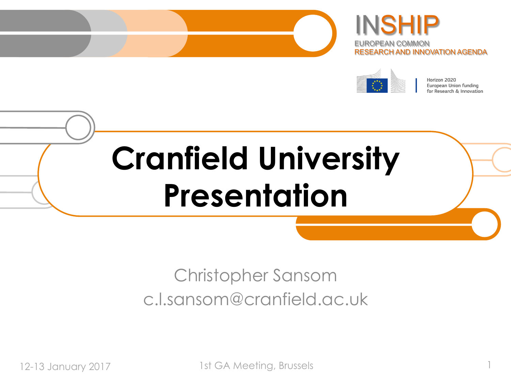





Horizon 2020 European Union funding for Research & Innovation

# **Cranfield University Presentation**

### Christopher Sansom c.l.sansom@cranfield.ac.uk

12-13 January 2017 1st GA Meeting, Brussels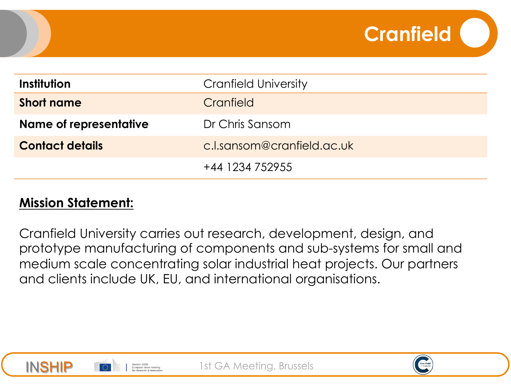| Institution            | <b>Cranfield University</b> |
|------------------------|-----------------------------|
| <b>Short name</b>      | Cranfield                   |
| Name of representative | Dr Chris Sansom             |
| <b>Contact details</b> | c.l.sansom@cranfield.ac.uk  |
|                        | +44 1234 752955             |

#### **Mission Statement:**

Cranfield University carries out research, development, design, and prototype manufacturing of components and sub-systems for small and medium scale concentrating solar industrial heat projects. Our partners and clients include UK, EU, and international organisations.







**Cranfield**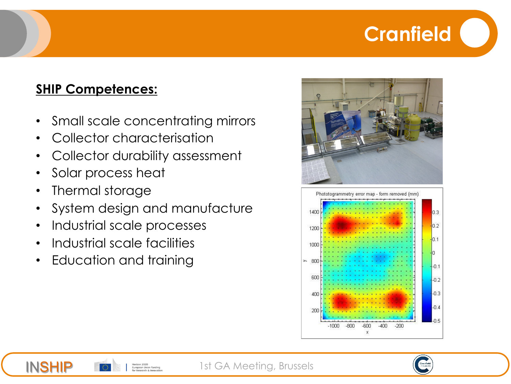## **Cranfield**

#### **SHIP Competences:**

- Small scale concentrating mirrors
- Collector characterisation
- Collector durability assessment
- Solar process heat
- Thermal storage

INSHIP

• System design and manufacture

Horizon 2020 European Union funding .<br>Research & Innovati

- Industrial scale processes
- Industrial scale facilities
- Education and training



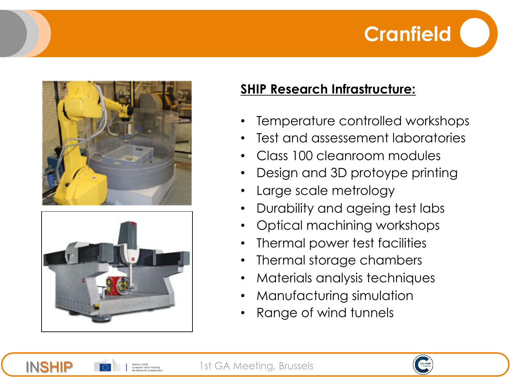





INSHIP

#### **SHIP Research Infrastructure:**

- Temperature controlled workshops
- Test and assessement laboratories
- Class 100 cleanroom modules
- Design and 3D protoype printing
- Large scale metrology
- Durability and ageing test labs
- Optical machining workshops
- Thermal power test facilities
- Thermal storage chambers
- Materials analysis techniques
- Manufacturing simulation
- Range of wind tunnels